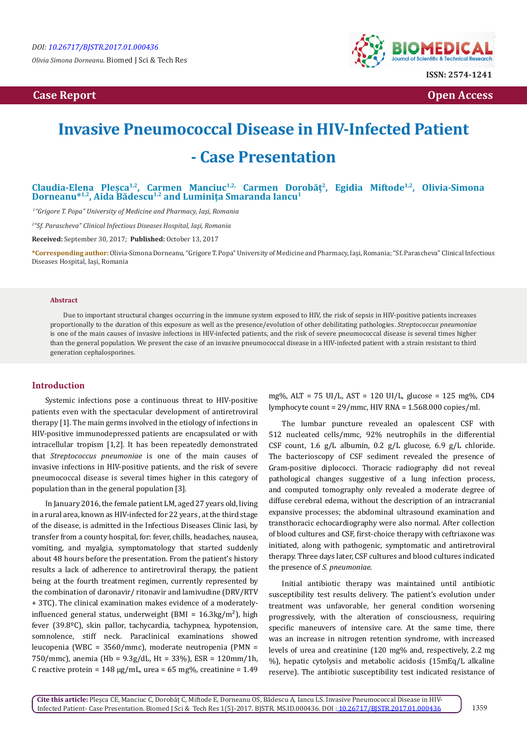*Olivia Simona Dorneanu.* Biomed J Sci & Tech Res

# **Case Report Open Access**



# **Invasive Pneumococcal Disease in HIV-Infected Patient - Case Presentation**

## **Claudia-Elena Pleșca1,2, Carmen Manciuc1,2, Carmen Dorobăț2, Egidia Miftode1,2, Olivia-Simona Dorneanu\*1,2, Aida Bădescu1,2 and Luminița Smaranda Iancu<sup>1</sup>**

*<sup>1</sup>"Grigore T. Popa" University of Medicine and Pharmacy, Iaşi, Romania*

*2 "Sf. Parascheva" Clinical Infectious Diseases Hospital, Iaşi, Romania*

**Received:** September 30, 2017; **Published:** October 13, 2017

**\*Corresponding author:**Olivia-Simona Dorneanu, "Grigore T. Popa" University of Medicine and Pharmacy, Iaşi, Romania; "Sf. Parascheva" Clinical Infectious Diseases Hospital, Iaşi, Romania

#### **Abstract**

Due to important structural changes occurring in the immune system exposed to HIV, the risk of sepsis in HIV-positive patients increases proportionally to the duration of this exposure as well as the presence/evolution of other debilitating pathologies. *Streptococcus pneumoniae*  is one of the main causes of invasive infections in HIV-infected patients, and the risk of severe pneumococcal disease is several times higher than the general population. We present the case of an invasive pneumococcal disease in a HIV-infected patient with a strain resistant to third generation cephalosporines.

### **Introduction**

Systemic infections pose a continuous threat to HIV-positive patients even with the spectacular development of antiretroviral therapy [1]. The main germs involved in the etiology of infections in HIV-positive immunodepressed patients are encapsulated or with intracellular tropism [1,2]. It has been repeatedly demonstrated that *Streptococcus pneumoniae* is one of the main causes of invasive infections in HIV-positive patients, and the risk of severe pneumococcal disease is several times higher in this category of population than in the general population [3].

In January 2016, the female patient LM, aged 27 years old, living in a rural area, known as HIV-infected for 22 years , at the third stage of the disease, is admitted in the Infectious Diseases Clinic Iasi, by transfer from a county hospital, for: fever, chills, headaches, nausea, vomiting, and myalgia, symptomatology that started suddenly about 48 hours before the presentation. From the patient's history results a lack of adherence to antiretroviral therapy, the patient being at the fourth treatment regimen, currently represented by the combination of daronavir/ ritonavir and lamivudine (DRV/RTV + 3TC). The clinical examination makes evidence of a moderatelyinfluenced general status, underweight (BMI =  $16.3 \text{kg/m}^2$ ), high fever (39.8ºC), skin pallor, tachycardia, tachypnea, hypotension, somnolence, stiff neck. Paraclinical examinations showed leucopenia (WBC = 3560/mmc), moderate neutropenia (PMN = 750/mmc), anemia (Hb = 9.3g/dL, Ht = 33%), ESR = 120mm/1h, C reactive protein =  $148 \mu g/mL$ , urea =  $65 \mu g$ , creatinine =  $1.49$ 

mg%, ALT = 75 UI/L, AST = 120 UI/L, glucose = 125 mg%, CD4 lymphocyte count = 29/mmc, HIV RNA = 1.568.000 copies/ml.

The lumbar puncture revealed an opalescent CSF with 512 nucleated cells/mmc, 92% neutrophils in the differential CSF count, 1.6 g/L albumin, 0.2 g/L glucose, 6.9 g/L chloride. The bacterioscopy of CSF sediment revealed the presence of Gram-positive diplococci. Thoracic radiography did not reveal pathological changes suggestive of a lung infection process, and computed tomography only revealed a moderate degree of diffuse cerebral edema, without the description of an intracranial expansive processes; the abdominal ultrasound examination and transthoracic echocardiography were also normal. After collection of blood cultures and CSF, first-choice therapy with ceftriaxone was initiated, along with pathogenic, symptomatic and antiretroviral therapy. Three days later, CSF cultures and blood cultures indicated the presence of *S. pneumoniae*.

Initial antibiotic therapy was maintained until antibiotic susceptibility test results delivery. The patient's evolution under treatment was unfavorable, her general condition worsening progressively, with the alteration of consciousness, requiring specific maneuvers of intensive care. At the same time, there was an increase in nitrogen retention syndrome, with increased levels of urea and creatinine (120 mg% and, respectively, 2.2 mg %), hepatic cytolysis and metabolic acidosis (15mEq/L alkaline reserve). The antibiotic susceptibility test indicated resistance of